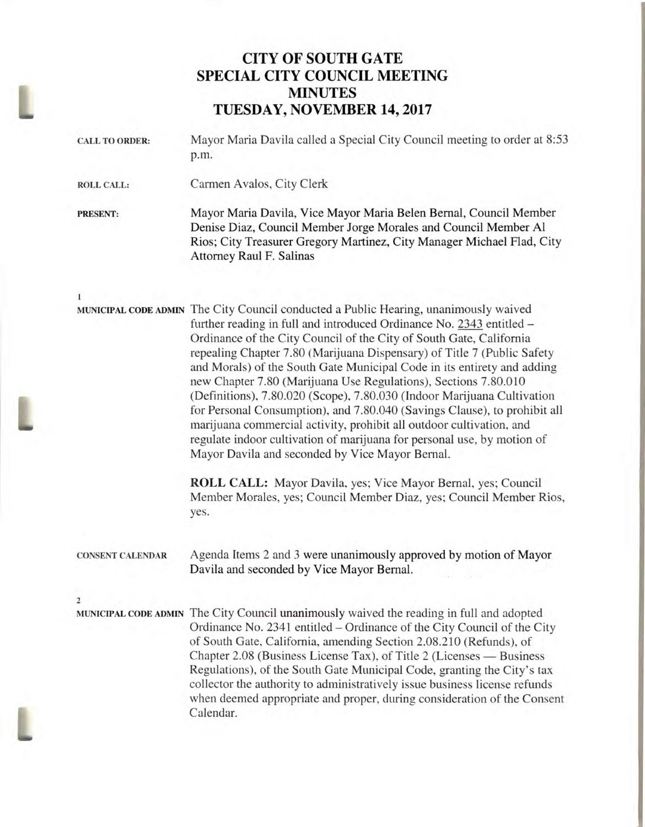## **CITY OF SOUTH GATE SPECIAL CITY COUNCIL MEETING MINUTES**  TUESDAY, **NOVEMBER 14, 2017**

| Mayor Maria Davila called a Special City Council meeting to order at 8:53<br>p.m.                                                                                                                                                                                                                                                                                                                                                                                                                                                                                                                                                                                                                                                                                                                                                                                                                                                                                  |  |  |
|--------------------------------------------------------------------------------------------------------------------------------------------------------------------------------------------------------------------------------------------------------------------------------------------------------------------------------------------------------------------------------------------------------------------------------------------------------------------------------------------------------------------------------------------------------------------------------------------------------------------------------------------------------------------------------------------------------------------------------------------------------------------------------------------------------------------------------------------------------------------------------------------------------------------------------------------------------------------|--|--|
| Carmen Avalos, City Clerk                                                                                                                                                                                                                                                                                                                                                                                                                                                                                                                                                                                                                                                                                                                                                                                                                                                                                                                                          |  |  |
| Mayor Maria Davila, Vice Mayor Maria Belen Bernal, Council Member<br>Denise Diaz, Council Member Jorge Morales and Council Member Al<br>Rios; City Treasurer Gregory Martinez, City Manager Michael Flad, City<br><b>Attorney Raul F. Salinas</b>                                                                                                                                                                                                                                                                                                                                                                                                                                                                                                                                                                                                                                                                                                                  |  |  |
|                                                                                                                                                                                                                                                                                                                                                                                                                                                                                                                                                                                                                                                                                                                                                                                                                                                                                                                                                                    |  |  |
| MUNICIPAL CODE ADMIN The City Council conducted a Public Hearing, unanimously waived<br>further reading in full and introduced Ordinance No. 2343 entitled -<br>Ordinance of the City Council of the City of South Gate, California<br>repealing Chapter 7.80 (Marijuana Dispensary) of Title 7 (Public Safety<br>and Morals) of the South Gate Municipal Code in its entirety and adding<br>new Chapter 7.80 (Marijuana Use Regulations), Sections 7.80.010<br>(Definitions), 7.80.020 (Scope), 7.80.030 (Indoor Marijuana Cultivation<br>for Personal Consumption), and 7.80.040 (Savings Clause), to prohibit all<br>marijuana commercial activity, prohibit all outdoor cultivation, and<br>regulate indoor cultivation of marijuana for personal use, by motion of<br>Mayor Davila and seconded by Vice Mayor Bernal.<br>ROLL CALL: Mayor Davila, yes; Vice Mayor Bernal, yes; Council<br>Member Morales, yes; Council Member Diaz, yes; Council Member Rios, |  |  |
| yes.                                                                                                                                                                                                                                                                                                                                                                                                                                                                                                                                                                                                                                                                                                                                                                                                                                                                                                                                                               |  |  |
| Agenda Items 2 and 3 were unanimously approved by motion of Mayor<br>Davila and seconded by Vice Mayor Bernal.                                                                                                                                                                                                                                                                                                                                                                                                                                                                                                                                                                                                                                                                                                                                                                                                                                                     |  |  |
|                                                                                                                                                                                                                                                                                                                                                                                                                                                                                                                                                                                                                                                                                                                                                                                                                                                                                                                                                                    |  |  |
| MUNICIPAL CODE ADMIN The City Council unanimously waived the reading in full and adopted<br>Ordinance No. 2341 entitled – Ordinance of the City Council of the City<br>of South Gate, California, amending Section 2.08.210 (Refunds), of<br>Chapter 2.08 (Business License Tax), of Title 2 (Licenses — Business<br>Regulations), of the South Gate Municipal Code, granting the City's tax<br>collector the authority to administratively issue business license refunds<br>when deemed appropriate and proper, during consideration of the Consent<br>Calendar.                                                                                                                                                                                                                                                                                                                                                                                                 |  |  |
|                                                                                                                                                                                                                                                                                                                                                                                                                                                                                                                                                                                                                                                                                                                                                                                                                                                                                                                                                                    |  |  |